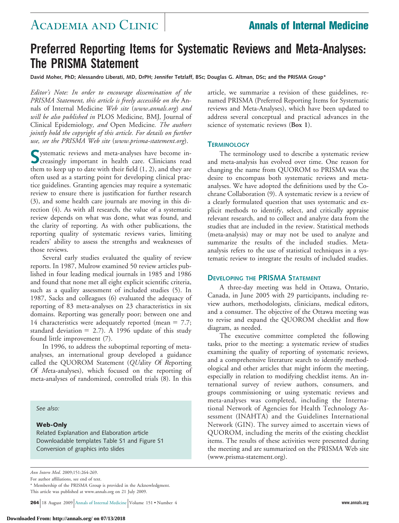# Academia and Clinic **Annals of Internal Medicine**

# **Preferred Reporting Items for Systematic Reviews and Meta-Analyses: The PRISMA Statement**

**David Moher, PhD; Alessandro Liberati, MD, DrPH; Jennifer Tetzlaff, BSc; Douglas G. Altman, DSc; and the PRISMA Group\***

*Editor's Note: In order to encourage dissemination of the PRISMA Statement, this article is freely accessible on the* Annals of Internal Medicine *Web site* (*www.annals.org*) *and will be also published in* PLOS Medicine*,* BMJ*,* Journal of Clinical Epidemiology*, and* Open Medicine*. The authors jointly hold the copyright of this article. For details on further use, see the PRISMA Web site* (*www.prisma-statement.org*).

Systematic reviews and meta-analyses have become increasingly important in health care. Clinicians read them to keep up to date with their field (1, 2), and they are often used as a starting point for developing clinical practice guidelines. Granting agencies may require a systematic review to ensure there is justification for further research (3), and some health care journals are moving in this direction (4). As with all research, the value of a systematic review depends on what was done, what was found, and the clarity of reporting. As with other publications, the reporting quality of systematic reviews varies, limiting readers' ability to assess the strengths and weaknesses of those reviews.

Several early studies evaluated the quality of review reports. In 1987, Mulrow examined 50 review articles published in four leading medical journals in 1985 and 1986 and found that none met all eight explicit scientific criteria, such as a quality assessment of included studies (5). In 1987, Sacks and colleagues (6) evaluated the adequacy of reporting of 83 meta-analyses on 23 characteristics in six domains. Reporting was generally poor; between one and 14 characteristics were adequately reported (mean  $= 7.7$ ; standard deviation  $= 2.7$ ). A 1996 update of this study found little improvement (7).

In 1996, to address the suboptimal reporting of metaanalyses, an international group developed a guidance called the QUOROM Statement (*QU*ality *O*f *R*eporting *O*f *M*eta-analyses), which focused on the reporting of meta-analyses of randomized, controlled trials (8). In this

#### *See also:*

#### **Web-Only**

Related Explanation and Elaboration article Downloadable templates Table S1 and Figure S1 Conversion of graphics into slides

*Ann Intern Med*. 2009;151:264-269.

For author affiliations, see end of text.

\* Membership of the PRISMA Group is provided in the Acknowledgment. This article was published at www.annals.org on 21 July 2009.

**264** 18 August 2009 Annals of Internal Medicine Volume 151 • Number 4 *www.annals.org* 

article, we summarize a revision of these guidelines, renamed PRISMA (Preferred Reporting Items for Systematic reviews and Meta-Analyses), which have been updated to address several conceptual and practical advances in the science of systematic reviews (**Box 1**).

#### **TERMINOLOGY**

The terminology used to describe a systematic review and meta-analysis has evolved over time. One reason for changing the name from QUOROM to PRISMA was the desire to encompass both systematic reviews and metaanalyses. We have adopted the definitions used by the Cochrane Collaboration (9). A systematic review is a review of a clearly formulated question that uses systematic and explicit methods to identify, select, and critically appraise relevant research, and to collect and analyze data from the studies that are included in the review. Statistical methods (meta-analysis) may or may not be used to analyze and summarize the results of the included studies. Metaanalysis refers to the use of statistical techniques in a systematic review to integrate the results of included studies.

#### **DEVELOPING THE PRISMA STATEMENT**

A three-day meeting was held in Ottawa, Ontario, Canada, in June 2005 with 29 participants, including review authors, methodologists, clinicians, medical editors, and a consumer. The objective of the Ottawa meeting was to revise and expand the QUOROM checklist and flow diagram, as needed.

The executive committee completed the following tasks, prior to the meeting: a systematic review of studies examining the quality of reporting of systematic reviews, and a comprehensive literature search to identify methodological and other articles that might inform the meeting, especially in relation to modifying checklist items. An international survey of review authors, consumers, and groups commissioning or using systematic reviews and meta-analyses was completed, including the International Network of Agencies for Health Technology Assessment (INAHTA) and the Guidelines International Network (GIN). The survey aimed to ascertain views of QUOROM, including the merits of the existing checklist items. The results of these activities were presented during the meeting and are summarized on the PRISMA Web site (www.prisma-statement.org).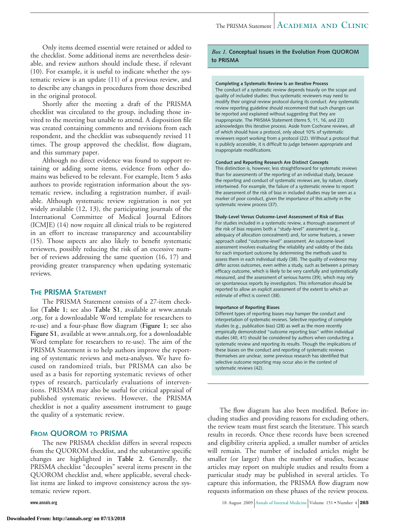Only items deemed essential were retained or added to the checklist. Some additional items are nevertheless desirable, and review authors should include these, if relevant (10). For example, it is useful to indicate whether the systematic review is an update (11) of a previous review, and to describe any changes in procedures from those described in the original protocol.

Shortly after the meeting a draft of the PRISMA checklist was circulated to the group, including those invited to the meeting but unable to attend. A disposition file was created containing comments and revisions from each respondent, and the checklist was subsequently revised 11 times. The group approved the checklist, flow diagram, and this summary paper.

Although no direct evidence was found to support retaining or adding some items, evidence from other domains was believed to be relevant. For example, Item 5 asks authors to provide registration information about the systematic review, including a registration number, if available. Although systematic review registration is not yet widely available (12, 13), the participating journals of the International Committee of Medical Journal Editors (ICMJE) (14) now require all clinical trials to be registered in an effort to increase transparency and accountability (15). Those aspects are also likely to benefit systematic reviewers, possibly reducing the risk of an excessive number of reviews addressing the same question (16, 17) and providing greater transparency when updating systematic reviews.

#### **THE PRISMA STATEMENT**

The PRISMA Statement consists of a 27-item checklist (**Table 1**; see also **Table S1**, available at www.annals .org, for a downloadable Word template for researchers to re-use) and a four-phase flow diagram (**Figure 1**; see also **Figure S1**, available at www.annals.org, for a downloadable Word template for researchers to re-use). The aim of the PRISMA Statement is to help authors improve the reporting of systematic reviews and meta-analyses. We have focused on randomized trials, but PRISMA can also be used as a basis for reporting systematic reviews of other types of research, particularly evaluations of interventions. PRISMA may also be useful for critical appraisal of published systematic reviews. However, the PRISMA checklist is not a quality assessment instrument to gauge the quality of a systematic review.

#### **FROM QUOROM TO PRISMA**

The new PRISMA checklist differs in several respects from the QUOROM checklist, and the substantive specific changes are highlighted in **Table 2**. Generally, the PRISMA checklist "decouples" several items present in the QUOROM checklist and, where applicable, several checklist items are linked to improve consistency across the systematic review report.

#### *Box 1.* **Conceptual Issues in the Evolution From QUOROM to PRISMA**

#### **Completing a Systematic Review Is an Iterative Process**

The conduct of a systematic review depends heavily on the scope and quality of included studies: thus systematic reviewers may need to modify their original review protocol during its conduct. Any systematic review reporting guideline should recommend that such changes can be reported and explained without suggesting that they are inappropriate. The PRISMA Statement (Items 5, 11, 16, and 23) acknowledges this iterative process. Aside from Cochrane reviews, all of which should have a protocol, only about 10% of systematic reviewers report working from a protocol (22). Without a protocol that is publicly accessible, it is difficult to judge between appropriate and inappropriate modifications.

#### **Conduct and Reporting Research Are Distinct Concepts**

This distinction is, however, less straightforward for systematic reviews than for assessments of the reporting of an individual study, because the reporting and conduct of systematic reviews are, by nature, closely intertwined. For example, the failure of a systematic review to report the assessment of the risk of bias in included studies may be seen as a marker of poor conduct, given the importance of this activity in the systematic review process (37).

#### **Study-Level Versus Outcome-Level Assessment of Risk of Bias**

For studies included in a systematic review, a thorough assessment of the risk of bias requires both a "study-level" assessment (e.g., adequacy of allocation concealment) and, for some features, a newer approach called "outcome-level" assessment. An outcome-level assessment involves evaluating the reliability and validity of the data for each important outcome by determining the methods used to assess them in each individual study (38). The quality of evidence may differ across outcomes, even within a study, such as between a primary efficacy outcome, which is likely to be very carefully and systematically measured, and the assessment of serious harms (39), which may rely on spontaneous reports by investigators. This information should be reported to allow an explicit assessment of the extent to which an estimate of effect is correct (38).

#### **Importance of Reporting Biases**

Different types of reporting biases may hamper the conduct and interpretation of systematic reviews. Selective reporting of complete studies (e.g., publication bias) (28) as well as the more recently empirically demonstrated "outcome reporting bias" within individual studies (40, 41) should be considered by authors when conducting a systematic review and reporting its results. Though the implications of these biases on the conduct and reporting of systematic reviews themselves are unclear, some previous research has identified that selective outcome reporting may occur also in the context of systematic reviews (42).

The flow diagram has also been modified. Before including studies and providing reasons for excluding others, the review team must first search the literature. This search results in records. Once these records have been screened and eligibility criteria applied, a smaller number of articles will remain. The number of included articles might be smaller (or larger) than the number of studies, because articles may report on multiple studies and results from a particular study may be published in several articles. To capture this information, the PRISMA flow diagram now requests information on these phases of the review process.

**www.annals.org** 18 August 2009 Annals of Internal Medicine Volume 151 • Number 4 **265**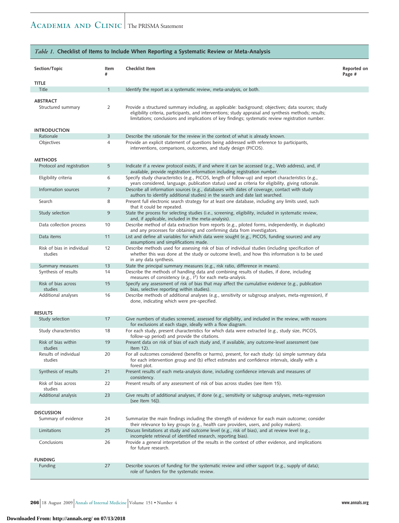| Section/Topic                            | Item<br>#      | Checklist Item                                                                                                                                                                                                                                                                                                    | Reported on<br>Page # |
|------------------------------------------|----------------|-------------------------------------------------------------------------------------------------------------------------------------------------------------------------------------------------------------------------------------------------------------------------------------------------------------------|-----------------------|
| <b>TITLE</b>                             |                |                                                                                                                                                                                                                                                                                                                   |                       |
| Title                                    | $\mathbf{1}$   | Identify the report as a systematic review, meta-analysis, or both.                                                                                                                                                                                                                                               |                       |
|                                          |                |                                                                                                                                                                                                                                                                                                                   |                       |
| <b>ABSTRACT</b><br>Structured summary    | $\overline{2}$ | Provide a structured summary including, as applicable: background; objectives; data sources; study<br>eligibility criteria, participants, and interventions; study appraisal and synthesis methods; results;<br>limitations; conclusions and implications of key findings; systematic review registration number. |                       |
| <b>INTRODUCTION</b>                      |                |                                                                                                                                                                                                                                                                                                                   |                       |
| Rationale                                | 3              | Describe the rationale for the review in the context of what is already known.                                                                                                                                                                                                                                    |                       |
| Objectives                               | 4              | Provide an explicit statement of questions being addressed with reference to participants,<br>interventions, comparisons, outcomes, and study design (PICOS).                                                                                                                                                     |                       |
| <b>METHODS</b>                           |                |                                                                                                                                                                                                                                                                                                                   |                       |
| Protocol and registration                | 5              | Indicate if a review protocol exists, if and where it can be accessed (e.g., Web address), and, if<br>available, provide registration information including registration number.                                                                                                                                  |                       |
| Eligibility criteria                     | 6              | Specify study characteristics (e.g., PICOS, length of follow-up) and report characteristics (e.g.,<br>years considered, language, publication status) used as criteria for eligibility, giving rationale.                                                                                                         |                       |
| Information sources                      | 7              | Describe all information sources (e.g., databases with dates of coverage, contact with study<br>authors to identify additional studies) in the search and date last searched.                                                                                                                                     |                       |
| Search                                   | 8              | Present full electronic search strategy for at least one database, including any limits used, such                                                                                                                                                                                                                |                       |
| Study selection                          | 9              | that it could be repeated.<br>State the process for selecting studies (i.e., screening, eligibility, included in systematic review,<br>and, if applicable, included in the meta-analysis).                                                                                                                        |                       |
| Data collection process                  | 10             | Describe method of data extraction from reports (e.g., piloted forms, independently, in duplicate)<br>and any processes for obtaining and confirming data from investigators.                                                                                                                                     |                       |
| Data items                               | 11             | List and define all variables for which data were sought (e.g., PICOS, funding sources) and any<br>assumptions and simplifications made.                                                                                                                                                                          |                       |
| Risk of bias in individual<br>studies    | 12             | Describe methods used for assessing risk of bias of individual studies (including specification of<br>whether this was done at the study or outcome level), and how this information is to be used<br>in any data synthesis.                                                                                      |                       |
| Summary measures                         | 13             | State the principal summary measures (e.g., risk ratio, difference in means).                                                                                                                                                                                                                                     |                       |
| Synthesis of results                     | 14             | Describe the methods of handling data and combining results of studies, if done, including<br>measures of consistency (e.g., $I^2$ ) for each meta-analysis.                                                                                                                                                      |                       |
| Risk of bias across<br>studies           | 15             | Specify any assessment of risk of bias that may affect the cumulative evidence (e.g., publication<br>bias, selective reporting within studies).                                                                                                                                                                   |                       |
| Additional analyses                      | 16             | Describe methods of additional analyses (e.g., sensitivity or subgroup analyses, meta-regression), if<br>done, indicating which were pre-specified.                                                                                                                                                               |                       |
| <b>RESULTS</b>                           |                |                                                                                                                                                                                                                                                                                                                   |                       |
| Study selection                          | 17             | Give numbers of studies screened, assessed for eligibility, and included in the review, with reasons                                                                                                                                                                                                              |                       |
|                                          |                | for exclusions at each stage, ideally with a flow diagram.                                                                                                                                                                                                                                                        |                       |
| Study characteristics                    | 18             | For each study, present characteristics for which data were extracted (e.g., study size, PICOS,<br>follow-up period) and provide the citations.                                                                                                                                                                   |                       |
| Risk of bias within<br>studies           | 19             | Present data on risk of bias of each study and, if available, any outcome-level assessment (see<br>Item 12).                                                                                                                                                                                                      |                       |
| Results of individual<br>studies         | 20             | For all outcomes considered (benefits or harms), present, for each study: (a) simple summary data<br>for each intervention group and (b) effect estimates and confidence intervals, ideally with a<br>forest plot.                                                                                                |                       |
| Synthesis of results                     | 21             | Present results of each meta-analysis done, including confidence intervals and measures of<br>consistency.                                                                                                                                                                                                        |                       |
| Risk of bias across<br>studies           | 22             | Present results of any assessment of risk of bias across studies (see Item 15).                                                                                                                                                                                                                                   |                       |
| Additional analysis                      | 23             | Give results of additional analyses, if done (e.g., sensitivity or subgroup analyses, meta-regression<br>[see Item $16$ ]).                                                                                                                                                                                       |                       |
| <b>DISCUSSION</b><br>Summary of evidence | 24             | Summarize the main findings including the strength of evidence for each main outcome; consider<br>their relevance to key groups (e.g., health care providers, users, and policy makers).                                                                                                                          |                       |
| Limitations                              | 25             | Discuss limitations at study and outcome level (e.g., risk of bias), and at review level (e.g.,<br>incomplete retrieval of identified research, reporting bias).                                                                                                                                                  |                       |
| Conclusions                              | 26             | Provide a general interpretation of the results in the context of other evidence, and implications<br>for future research.                                                                                                                                                                                        |                       |
| <b>FUNDING</b>                           |                |                                                                                                                                                                                                                                                                                                                   |                       |
| Funding                                  | 27             | Describe sources of funding for the systematic review and other support (e.g., supply of data);                                                                                                                                                                                                                   |                       |
|                                          |                | role of funders for the systematic review.                                                                                                                                                                                                                                                                        |                       |

#### *Table 1.* **Checklist of Items to Include When Reporting a Systematic Review or Meta-Analysis**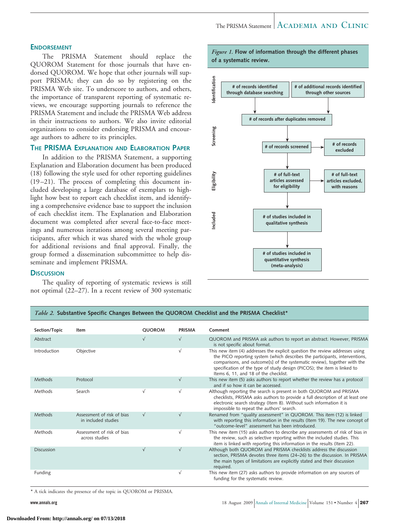#### **ENDORSEMENT**

The PRISMA Statement should replace the QUOROM Statement for those journals that have endorsed QUOROM. We hope that other journals will support PRISMA; they can do so by registering on the PRISMA Web site. To underscore to authors, and others, the importance of transparent reporting of systematic reviews, we encourage supporting journals to reference the PRISMA Statement and include the PRISMA Web address in their instructions to authors. We also invite editorial organizations to consider endorsing PRISMA and encourage authors to adhere to its principles.

#### **THE PRISMA EXPLANATION AND ELABORATION PAPER**

In addition to the PRISMA Statement, a supporting Explanation and Elaboration document has been produced (18) following the style used for other reporting guidelines (19 –21). The process of completing this document included developing a large database of exemplars to highlight how best to report each checklist item, and identifying a comprehensive evidence base to support the inclusion of each checklist item. The Explanation and Elaboration document was completed after several face-to-face meetings and numerous iterations among several meeting participants, after which it was shared with the whole group for additional revisions and final approval. Finally, the group formed a dissemination subcommittee to help disseminate and implement PRISMA.

#### **DISCUSSION**

The quality of reporting of systematic reviews is still not optimal (22–27). In a recent review of 300 systematic *Figure 1.* **Flow of information through the different phases of a systematic review.**



*Table 2.* **Substantive Specific Changes Between the QUOROM Checklist and the PRISMA Checklist\***

| Section/Topic     | Item                                              | <b>QUOROM</b> | <b>PRISMA</b> | Comment                                                                                                                                                                                                                                                                                                                                                      |
|-------------------|---------------------------------------------------|---------------|---------------|--------------------------------------------------------------------------------------------------------------------------------------------------------------------------------------------------------------------------------------------------------------------------------------------------------------------------------------------------------------|
| Abstract          |                                                   |               | $\sqrt{}$     | QUOROM and PRISMA ask authors to report an abstract. However, PRISMA<br>is not specific about format.                                                                                                                                                                                                                                                        |
| Introduction      | Objective                                         |               |               | This new item (4) addresses the explicit question the review addresses using<br>the PICO reporting system (which describes the participants, interventions,<br>comparisons, and outcome[s] of the systematic review), together with the<br>specification of the type of study design (PICOS); the item is linked to<br>Items 6, 11, and 18 of the checklist. |
| Methods           | Protocol                                          |               |               | This new item (5) asks authors to report whether the review has a protocol<br>and if so how it can be accessed.                                                                                                                                                                                                                                              |
| Methods           | Search                                            | V             |               | Although reporting the search is present in both QUOROM and PRISMA<br>checklists, PRISMA asks authors to provide a full description of at least one<br>electronic search strategy (Item 8). Without such information it is<br>impossible to repeat the authors' search.                                                                                      |
| Methods           | Assessment of risk of bias<br>in included studies |               |               | Renamed from "quality assessment" in QUOROM. This item (12) is linked<br>with reporting this information in the results (Item 19). The new concept of<br>"outcome-level" assessment has been introduced.                                                                                                                                                     |
| Methods           | Assessment of risk of bias<br>across studies      |               |               | This new item (15) asks authors to describe any assessments of risk of bias in<br>the review, such as selective reporting within the included studies. This<br>item is linked with reporting this information in the results (Item 22).                                                                                                                      |
| <b>Discussion</b> |                                                   |               |               | Although both QUOROM and PRISMA checklists address the discussion<br>section, PRISMA devotes three items (24-26) to the discussion. In PRISMA<br>the main types of limitations are explicitly stated and their discussion<br>required.                                                                                                                       |
| Funding           |                                                   |               | V             | This new item (27) asks authors to provide information on any sources of<br>funding for the systematic review.                                                                                                                                                                                                                                               |

\* A tick indicates the presence of the topic in QUOROM or PRISMA.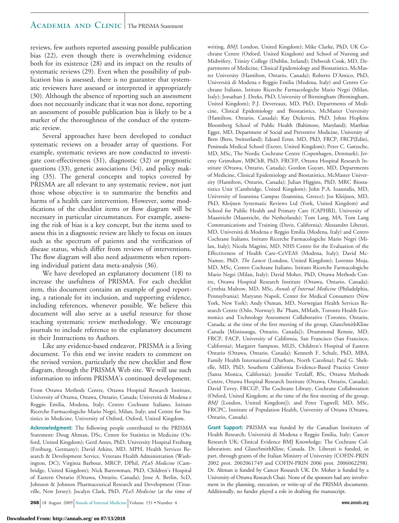### ACADEMIA AND CLINIC The PRISMA Statement

reviews, few authors reported assessing possible publication bias (22), even though there is overwhelming evidence both for its existence (28) and its impact on the results of systematic reviews (29). Even when the possibility of publication bias is assessed, there is no guarantee that systematic reviewers have assessed or interpreted it appropriately (30). Although the absence of reporting such an assessment does not necessarily indicate that it was not done, reporting an assessment of possible publication bias is likely to be a marker of the thoroughness of the conduct of the systematic review.

Several approaches have been developed to conduct systematic reviews on a broader array of questions. For example, systematic reviews are now conducted to investigate cost-effectiveness (31), diagnostic (32) or prognostic questions (33), genetic associations (34), and policy making (35). The general concepts and topics covered by PRISMA are all relevant to any systematic review, not just those whose objective is to summarize the benefits and harms of a health care intervention. However, some modifications of the checklist items or flow diagram will be necessary in particular circumstances. For example, assessing the risk of bias is a key concept, but the items used to assess this in a diagnostic review are likely to focus on issues such as the spectrum of patients and the verification of disease status, which differ from reviews of interventions. The flow diagram will also need adjustments when reporting individual patient data meta-analysis (36).

We have developed an explanatory document (18) to increase the usefulness of PRISMA. For each checklist item, this document contains an example of good reporting, a rationale for its inclusion, and supporting evidence, including references, whenever possible. We believe this document will also serve as a useful resource for those teaching systematic review methodology. We encourage journals to include reference to the explanatory document in their Instructions to Authors.

Like any evidence-based endeavor, PRISMA is a living document. To this end we invite readers to comment on the revised version, particularly the new checklist and flow diagram, through the PRISMA Web site. We will use such information to inform PRISMA's continued development.

From Ottawa Methods Centre, Ottawa Hospital Research Institute, University of Ottawa, Ottawa, Ontario, Canada; Universita` di Modena e Reggio Emilia, Modena, Italy; Centro Cochrane Italiano, Istituto Ricerche Farmacologiche Mario Negri, Milan, Italy; and Centre for Statistics in Medicine, University of Oxford, Oxford, United Kingdom.

**Acknowledgment:** The following people contributed to the PRISMA Statement: Doug Altman, DSc, Centre for Statistics in Medicine (Oxford, United Kingdom); Gerd Antes, PhD, University Hospital Freiburg (Freiburg, Germany); David Atkins, MD, MPH, Health Services Research & Development Service, Veterans Health Administration (Washington, DC); Virginia Barbour, MRCP, DPhil, *PLoS Medicine* (Cambridge, United Kingdom); Nick Barrowman, PhD, Children's Hospital of Eastern Ontario (Ottawa, Ontario, Canada); Jesse A. Berlin, ScD, Johnson & Johnson Pharmaceutical Research and Development (Titusville, New Jersey); Jocalyn Clark, PhD, *PLoS Medicine* (at the time of

**268** 18 August 2009 Annals of Internal Medicine Volume 151 • Number 4 **www.annals.org**

writing, *BMJ*; London, United Kingdom); Mike Clarke, PhD, UK Cochrane Centre (Oxford, United Kingdom) and School of Nursing and Midwifery, Trinity College (Dublin, Ireland); Deborah Cook, MD, Departments of Medicine, Clinical Epidemiology and Biostatistics, McMaster University (Hamilton, Ontario, Canada); Roberto D'Amico, PhD, Universita` di Modena e Reggio Emilia (Modena, Italy) and Centro Cochrane Italiano, Istituto Ricerche Farmacologiche Mario Negri (Milan, Italy); Jonathan J. Deeks, PhD, University of Birmingham (Birmingham, United Kingdom); P.J. Devereaux, MD, PhD, Departments of Medicine, Clinical Epidemiology and Biostatistics, McMaster University (Hamilton, Ontario, Canada); Kay Dickersin, PhD, Johns Hopkins Bloomberg School of Public Health (Baltimore, Maryland); Matthias Egger, MD, Department of Social and Preventive Medicine, University of Bern (Bern, Switzerland); Edzard Ernst, MD, PhD, FRCP, FRCP(Edin), Peninsula Medical School (Exeter, United Kingdom); Peter C. Gøtzsche, MD, MSc, The Nordic Cochrane Centre (Copenhagen, Denmark); Jeremy Grimshaw, MBChB, PhD, FRCFP, Ottawa Hospital Research Institute (Ottawa, Ontario, Canada); Gordon Guyatt, MD, Departments of Medicine, Clinical Epidemiology and Biostatistics, McMaster University (Hamilton, Ontario, Canada); Julian Higgins, PhD, MRC Biostatistics Unit (Cambridge, United Kingdom); John P.A. Ioannidis, MD, University of Ioannina Campus (Ioannina, Greece); Jos Kleijnen, MD, PhD, Kleijnen Systematic Reviews Ltd (York, United Kingdom) and School for Public Health and Primary Care (CAPHRI), University of Maastricht (Maastricht, the Netherlands); Tom Lang, MA, Tom Lang Communications and Training (Davis, California); Alessandro Liberati, MD, Universita` di Modena e Reggio Emilia (Modena, Italy) and Centro Cochrane Italiano, Istituto Ricerche Farmacologiche Mario Negri (Milan, Italy); Nicola Magrini, MD, NHS Centre for the Evaluation of the Effectiveness of Health Care–CeVEAS (Modena, Italy); David Mc-Namee, PhD, *The Lancet* (London, United Kingdom); Lorenzo Moja, MD, MSc, Centro Cochrane Italiano, Istituto Ricerche Farmacologiche Mario Negri (Milan, Italy); David Moher, PhD, Ottawa Methods Centre, Ottawa Hospital Research Institute (Ottawa, Ontario, Canada); Cynthia Mulrow, MD, MSc, *Annals of Internal Medicine* (Philadelphia, Pennsylvania); Maryann Napoli, Center for Medical Consumers (New York, New York); Andy Oxman, MD, Norwegian Health Services Research Centre (Oslo, Norway); Ba' Pham, MMath, Toronto Health Economics and Technology Assessment Collaborative (Toronto, Ontario, Canada; at the time of the first meeting of the group, GlaxoSmithKline Canada [Mississauga, Ontario, Canada]); Drummond Rennie, MD, FRCP, FACP, University of California, San Francisco (San Francisco, California); Margaret Sampson, MLIS, Children's Hospital of Eastern Ontario (Ottawa, Ontario, Canada); Kenneth F. Schulz, PhD, MBA, Family Health International (Durham, North Carolina); Paul G. Shekelle, MD, PhD, Southern California Evidence-Based Practice Center (Santa Monica, California); Jennifer Tetzlaff, BSc, Ottawa Methods Centre, Ottawa Hospital Research Institute (Ottawa, Ontario, Canada); David Tovey, FRCGP, The Cochrane Library, Cochrane Collaboration (Oxford, United Kingdom; at the time of the first meeting of the group, *BMJ* [London, United Kingdom]); and Peter Tugwell, MD, MSc, FRCPC, Institute of Population Health, University of Ottawa (Ottawa, Ontario, Canada).

**Grant Support:** PRISMA was funded by the Canadian Institutes of Health Research; Universita` di Modena e Reggio Emilia, Italy; Cancer Research UK; Clinical Evidence BMJ Knowledge; The Cochrane Collaboration; and GlaxoSmithKline, Canada. Dr. Liberati is funded, in part, through grants of the Italian Ministry of University (COFIN-PRIN 2002 prot. 2002061749 and COFIN-PRIN 2006 prot. 2006062298). Dr. Altman is funded by Cancer Research UK. Dr. Moher is funded by a University of Ottawa Research Chair. None of the sponsors had any involvement in the planning, execution, or write-up of the PRISMA documents. Additionally, no funder played a role in drafting the manuscript.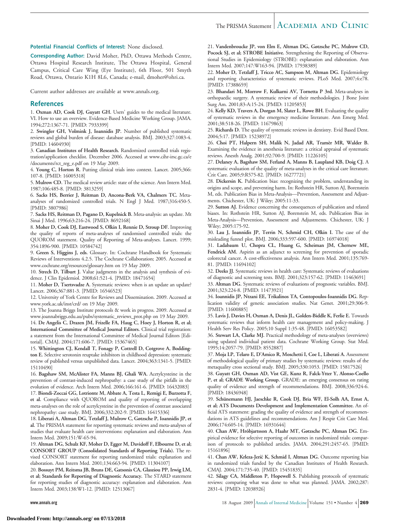#### The PRISMA Statement | ACADEMIA AND CLINIC

#### **Potential Financial Conflicts of Interest:** None disclosed.

**Corresponding Author:** David Moher, PhD, Ottawa Methods Centre, Ottawa Hospital Research Institute, The Ottawa Hospital, General Campus, Critical Care Wing (Eye Institute), 6th Floor, 501 Smyth Road, Ottawa, Ontario K1H 8L6, Canada; e-mail, dmoher@ohri.ca.

Current author addresses are available at www.annals.org.

#### **References**

1. **Oxman AD, Cook DJ, Guyatt GH.** Users' guides to the medical literature. VI. How to use an overview. Evidence-Based Medicine Working Group. JAMA. 1994;272:1367-71. [PMID: 7933399]

2. **Swingler GH, Volmink J, Ioannidis JP.** Number of published systematic reviews and global burden of disease: database analysis. BMJ. 2003;327:1083-4. [PMID: 14604930]

3. **Canadian Institutes of Health Research.** Randomized controlled trials registration/application checklist. December 2006. Accessed at www.cihr-irsc.gc.ca/e /documents/rct\_reg\_e.pdf on 19 May 2009.

4. **Young C, Horton R.** Putting clinical trials into context. Lancet. 2005;366: 107-8. [PMID: 16005318]

5. **Mulrow CD.** The medical review article: state of the science. Ann Intern Med. 1987;106:485-8. [PMID: 3813259]

6. **Sacks HS, Berrier J, Reitman D, Ancona-Berk VA, Chalmers TC.** Metaanalyses of randomized controlled trials. N Engl J Med. 1987;316:450-5. [PMID: 3807986]

7. **Sacks HS, Reitman D, Pagano D, Kupelnick B.** Meta-analysis: an update. Mt Sinai J Med. 1996;63:216-24. [PMID: 8692168]

8. **Moher D, Cook DJ, Eastwood S, Olkin I, Rennie D, Stroup DF.** Improving the quality of reports of meta-analyses of randomised controlled trials: the QUOROM statement. Quality of Reporting of Meta-analyses. Lancet. 1999; 354:1896-900. [PMID: 10584742]

9. **Green S, Higgins J, eds.** Glossary. In: Cochrane Handbook for Systematic Reviews of Interventions 4.2.5. The Cochrane Collaboration; 2005. Accessed at www.cochrane.org/resources/glossary.htm on 19 May 2009.

10. **Strech D, Tilburt J.** Value judgments in the analysis and synthesis of evidence. J Clin Epidemiol. 2008;61:521-4. [PMID: 18471654]

11. Moher D, Tsertsvadze A. Systematic reviews: when is an update an update? Lancet. 2006;367:881-3. [PMID: 16546523]

12. University of York Centre for Reviews and Dissemination. 2009. Accessed at www.york.ac.uk/inst/crd/ on 19 May 2009.

13. The Joanna Briggs Institute protocols & work in progress. 2009. Accessed at www.joannabriggs.edu.au/pubs/systematic\_reviews\_prot.php on 19 May 2009.

14. **De Angelis C, Drazen JM, Frizelle FA, Haug C, Hoey J, Horton R, et al; International Committee of Medical Journal Editors.** Clinical trial registration: a statement from the International Committee of Medical Journal Editors [Editorial]. CMAJ. 2004;171:606-7. [PMID: 15367465]

15. **Whittington CJ, Kendall T, Fonagy P, Cottrell D, Cotgrove A, Boddington E.** Selective serotonin reuptake inhibitors in childhood depression: systematic review of published versus unpublished data. Lancet. 2004;363:1341-5. [PMID: 15110490]

16. **Bagshaw SM, McAlister FA, Manns BJ, Ghali WA.** Acetylcysteine in the prevention of contrast-induced nephropathy: a case study of the pitfalls in the evolution of evidence. Arch Intern Med. 2006;166:161-6. [PMID: 16432083]

17. **Biondi-Zoccai GG, Lotrionte M, Abbate A, Testa L, Remigi E, Burzotta F, et al.** Compliance with QUOROM and quality of reporting of overlapping meta-analyses on the role of acetylcysteine in the prevention of contrast associated nephropathy: case study. BMJ. 2006;332:202-9. [PMID: 16415336]

18. **Liberati A, Altman DG, Tetzlaff J, Mulrow C, Gøtzsche P, Ioannidis JP, et al.** The PRISMA statement for reporting systematic reviews and meta-analyses of studies that evaluate health care interventions: explanation and elaboration. Ann Intern Med. 2009;151:W-65-94.

19. **Altman DG, Schulz KF, Moher D, Egger M, Davidoff F, Elbourne D, et al; CONSORT GROUP (Consolidated Standards of Reporting Trials).** The revised CONSORT statement for reporting randomized trials: explanation and elaboration. Ann Intern Med. 2001;134:663-94. [PMID: 11304107]

20. **Bossuyt PM, Reitsma JB, Bruns DE, Gatsonis CA, Glasziou PP, Irwig LM, et al; Standards for Reporting of Diagnostic Accuracy.** The STARD statement for reporting studies of diagnostic accuracy: explanation and elaboration. Ann Intern Med. 2003;138:W1-12. [PMID: 12513067]

21. **Vandenbroucke JP, von Elm E, Altman DG, Gøtzsche PC, Mulrow CD, Pocock SJ, et al; STROBE Initiative.** Strengthening the Reporting of Observational Studies in Epidemiology (STROBE): explanation and elaboration. Ann Intern Med. 2007;147:W163-94. [PMID: 17938389]

22. **Moher D, Tetzlaff J, Tricco AC, Sampson M, Altman DG.** Epidemiology and reporting characteristics of systematic reviews. PLoS Med. 2007;4:e78. [PMID: 17388659]

23. **Bhandari M, Morrow F, Kulkarni AV, Tornetta P 3rd.** Meta-analyses in orthopaedic surgery. A systematic review of their methodologies. J Bone Joint Surg Am. 2001;83-A:15-24. [PMID: 11205853]

24. **Kelly KD, Travers A, Dorgan M, Slater L, Rowe BH.** Evaluating the quality of systematic reviews in the emergency medicine literature. Ann Emerg Med. 2001;38:518-26. [PMID: 11679863]

25. **Richards D.** The quality of systematic reviews in dentistry. Evid Based Dent. 2004;5:17. [PMID: 15238972]

26. Choi PT, Halpern SH, Malik N, Jadad AR, Tramèr MR, Walder B. Examining the evidence in anesthesia literature: a critical appraisal of systematic reviews. Anesth Analg. 2001;92:700-9. [PMID: 11226105]

27. **Delaney A, Bagshaw SM, Ferland A, Manns B, Laupland KB, Doig CJ.** A systematic evaluation of the quality of meta-analyses in the critical care literature. Crit Care. 2005;9:R575-82. [PMID: 16277721]

28. **Dickersin K.** Publication bias: recognizing the problem, understanding its origins and scope, and preventing harm. In: Rothstein HR, Sutton AJ, Borenstein M, eds. Publication Bias in Meta-Analysis—Prevention, Assessment and Adjustments. Chichester, UK: J Wiley; 2005:11-33.

29. **Sutton AJ.** Evidence concerning the consequences of publication and related biases. In: Rothstein HR, Sutton AJ, Borenstein M, eds. Publication Bias in Meta-Analysis—Prevention, Assessment and Adjustments. Chichester, UK: J Wiley; 2005:175-92.

30. **Lau J, Ioannidis JP, Terrin N, Schmid CH, Olkin I.** The case of the misleading funnel plot. BMJ. 2006;333:597-600. [PMID: 16974018]

31. **Ladabaum U, Chopra CL, Huang G, Scheiman JM, Chernew ME,** Fendrick AM. Aspirin as an adjunct to screening for prevention of sporadic colorectal cancer. A cost-effectiveness analysis. Ann Intern Med. 2001;135:769- 81. [PMID: 11694102]

32. **Deeks JJ.** Systematic reviews in health care: Systematic reviews of evaluations of diagnostic and screening tests. BMJ. 2001;323:157-62. [PMID: 11463691]

33. **Altman DG.** Systematic reviews of evaluations of prognostic variables. BMJ. 2001;323:224-8. [PMID: 11473921]

34. **Ioannidis JP, Ntzani EE, Trikalinos TA, Contopoulos-Ioannidis DG.** Replication validity of genetic association studies. Nat Genet. 2001;29:306-9. [PMID: 11600885]

35. **Lavis J, Davies H, Oxman A, Denis JL, Golden-Biddle K, Ferlie E.** Towards systematic reviews that inform health care management and policy-making. J Health Serv Res Policy. 2005;10 Suppl 1:35-48. [PMID: 16053582]

36. **Stewart LA, Clarke MJ.** Practical methodology of meta-analyses (overviews) using updated individual patient data. Cochrane Working Group. Stat Med. 1995;14:2057-79. [PMID: 8552887]

37. **Moja LP, Telaro E, D'Amico R, Moschetti I, Coe L, Liberati A.** Assessment of methodological quality of primary studies by systematic reviews: results of the metaquality cross sectional study. BMJ. 2005;330:1053. [PMID: 15817526]

38. **Guyatt GH, Oxman AD, Vist GE, Kunz R, Falck-Ytter Y, Alonso-Coello P, et al; GRADE Working Group.** GRADE: an emerging consensus on rating quality of evidence and strength of recommendations. BMJ. 2008;336:924-6. [PMID: 18436948]

39. **Schu¨nemann HJ, Jaeschke R, Cook DJ, Bria WF, El-Solh AA, Ernst A, et al; ATS Documents Development and Implementation Committee.** An official ATS statement: grading the quality of evidence and strength of recommendations in ATS guidelines and recommendations. Am J Respir Crit Care Med. 2006;174:605-14. [PMID: 16931644]

40. **Chan AW, Hro´bjartsson A, Haahr MT, Gøtzsche PC, Altman DG.** Empirical evidence for selective reporting of outcomes in randomized trials: comparison of protocols to published articles. JAMA. 2004;291:2457-65. [PMID: 15161896]

41. **Chan AW, Krleza-Jeric´ K, Schmid I, Altman DG.** Outcome reporting bias in randomized trials funded by the Canadian Institutes of Health Research. CMAJ. 2004;171:735-40. [PMID: 15451835]

42. **Silagy CA, Middleton P, Hopewell S.** Publishing protocols of systematic reviews: comparing what was done to what was planned. JAMA. 2002;287: 2831-4. [PMID: 12038926]